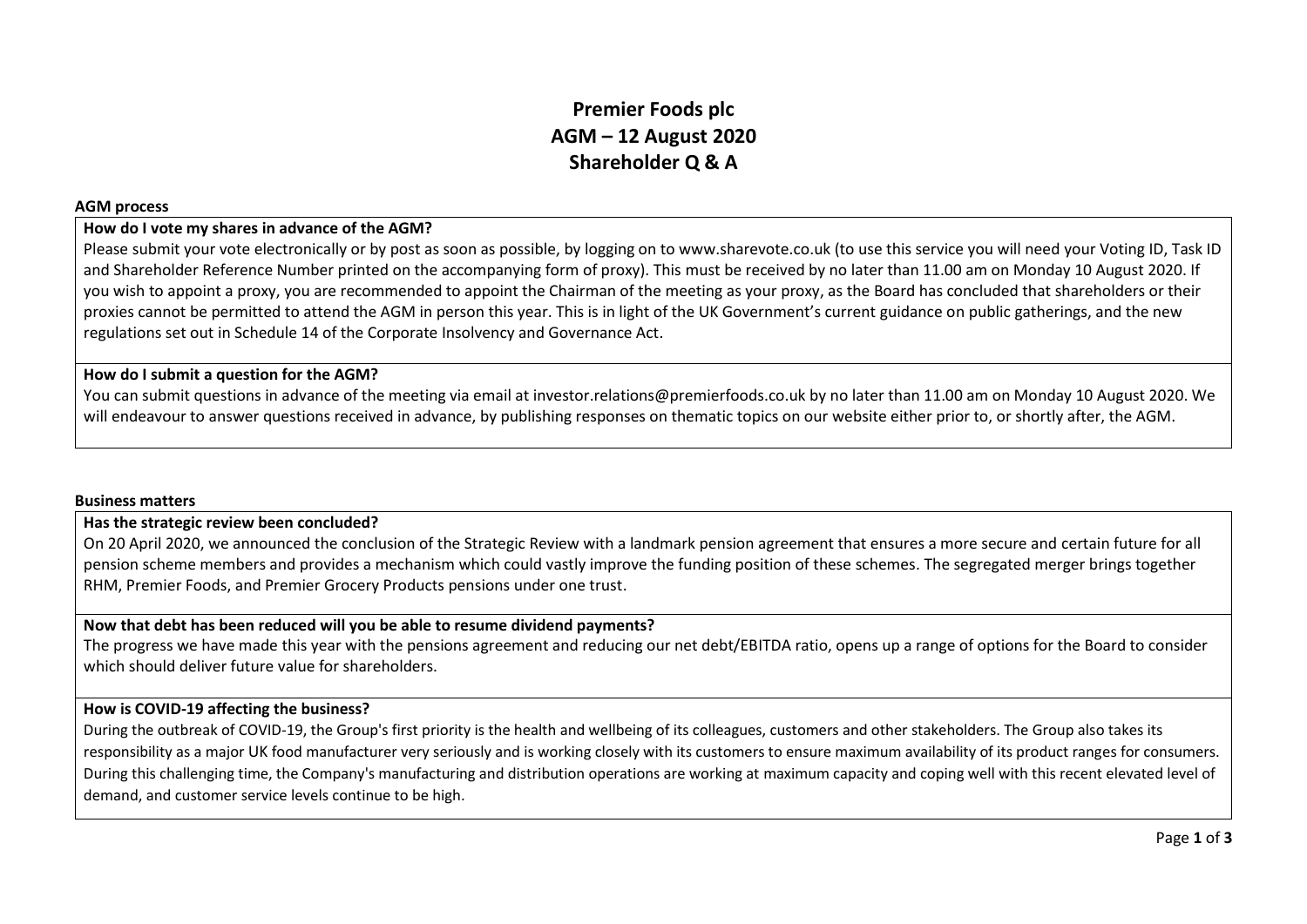# **Premier Foods plc AGM – 12 August 2020 Shareholder Q & A**

#### **AGM process**

## **How do I vote my shares in advance of the AGM?**

Please submit your vote electronically or by post as soon as possible, by logging on to www.sharevote.co.uk (to use this service you will need your Voting ID, Task ID and Shareholder Reference Number printed on the accompanying form of proxy). This must be received by no later than 11.00 am on Monday 10 August 2020. If you wish to appoint a proxy, you are recommended to appoint the Chairman of the meeting as your proxy, as the Board has concluded that shareholders or their proxies cannot be permitted to attend the AGM in person this year. This is in light of the UK Government's current guidance on public gatherings, and the new regulations set out in Schedule 14 of the Corporate Insolvency and Governance Act.

#### **How do I submit a question for the AGM?**

You can submit questions in advance of the meeting via email at investor.relations@premierfoods.co.uk by no later than 11.00 am on Monday 10 August 2020. We will endeavour to answer questions received in advance, by publishing responses on thematic topics on our website either prior to, or shortly after, the AGM.

#### **Business matters**

#### **Has the strategic review been concluded?**

On 20 April 2020, we announced the conclusion of the Strategic Review with a landmark pension agreement that ensures a more secure and certain future for all pension scheme members and provides a mechanism which could vastly improve the funding position of these schemes. The segregated merger brings together RHM, Premier Foods, and Premier Grocery Products pensions under one trust.

#### **Now that debt has been reduced will you be able to resume dividend payments?**

The progress we have made this year with the pensions agreement and reducing our net debt/EBITDA ratio, opens up a range of options for the Board to consider which should deliver future value for shareholders.

## **How is COVID-19 affecting the business?**

During the outbreak of COVID-19, the Group's first priority is the health and wellbeing of its colleagues, customers and other stakeholders. The Group also takes its responsibility as a major UK food manufacturer very seriously and is working closely with its customers to ensure maximum availability of its product ranges for consumers. During this challenging time, the Company's manufacturing and distribution operations are working at maximum capacity and coping well with this recent elevated level of demand, and customer service levels continue to be high.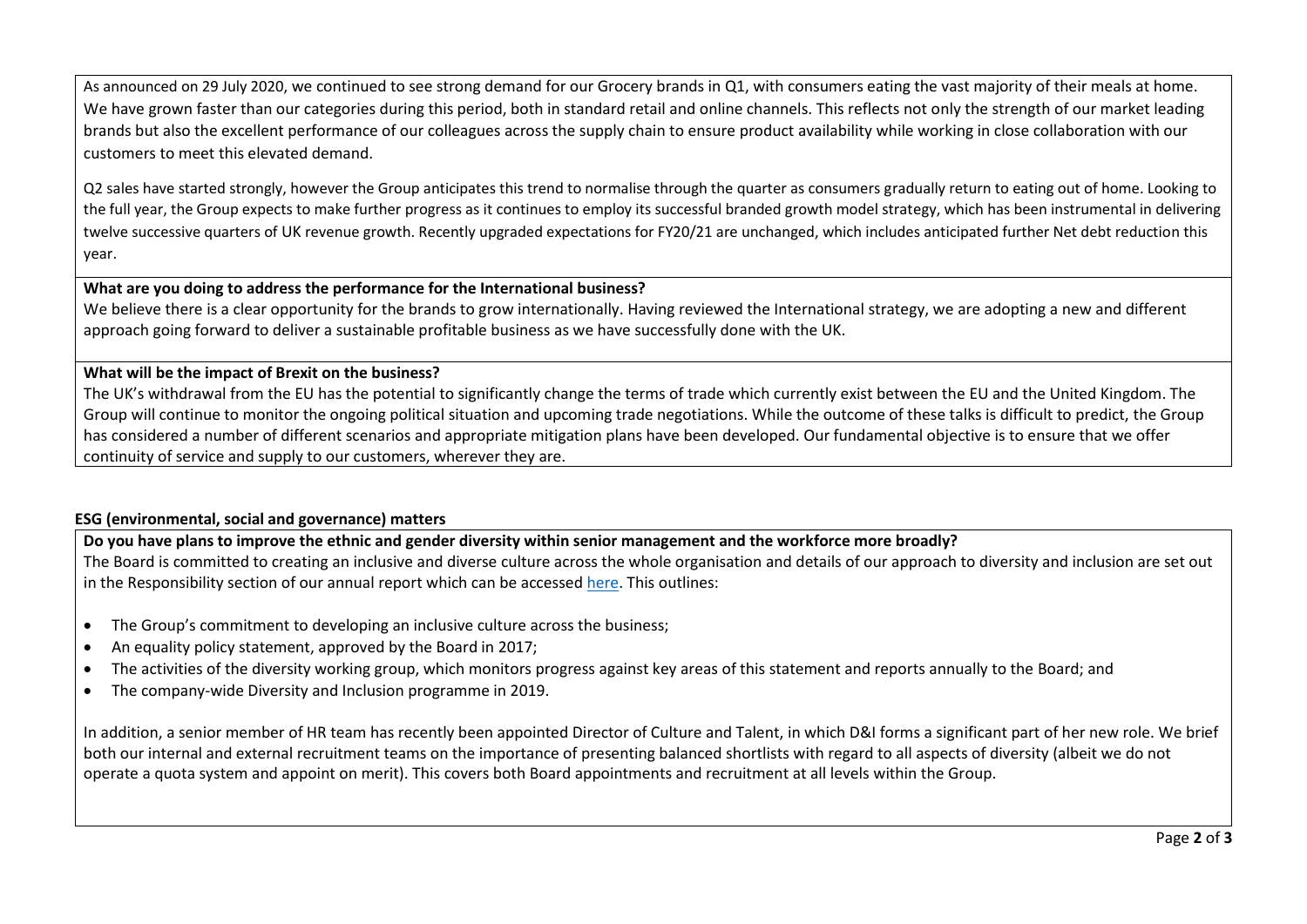As announced on 29 July 2020, we continued to see strong demand for our Grocery brands in Q1, with consumers eating the vast majority of their meals at home. We have grown faster than our categories during this period, both in standard retail and online channels. This reflects not only the strength of our market leading brands but also the excellent performance of our colleagues across the supply chain to ensure product availability while working in close collaboration with our customers to meet this elevated demand.

Q2 sales have started strongly, however the Group anticipates this trend to normalise through the quarter as consumers gradually return to eating out of home. Looking to the full year, the Group expects to make further progress as it continues to employ its successful branded growth model strategy, which has been instrumental in delivering twelve successive quarters of UK revenue growth. Recently upgraded expectations for FY20/21 are unchanged, which includes anticipated further Net debt reduction this year.

## **What are you doing to address the performance for the International business?**

We believe there is a clear opportunity for the brands to grow internationally. Having reviewed the International strategy, we are adopting a new and different approach going forward to deliver a sustainable profitable business as we have successfully done with the UK.

#### **What will be the impact of Brexit on the business?**

The UK's withdrawal from the EU has the potential to significantly change the terms of trade which currently exist between the EU and the United Kingdom. The Group will continue to monitor the ongoing political situation and upcoming trade negotiations. While the outcome of these talks is difficult to predict, the Group has considered a number of different scenarios and appropriate mitigation plans have been developed. Our fundamental objective is to ensure that we offer continuity of service and supply to our customers, wherever they are.

## **ESG (environmental, social and governance) matters**

## **Do you have plans to improve the ethnic and gender diversity within senior management and the workforce more broadly?**

The Board is committed to creating an inclusive and diverse culture across the whole organisation and details of our approach to diversity and inclusion are set out in the Responsibility section of our annual report which can be accessed [here.](https://www.premierfoods.co.uk/Investors/Results-Centre.aspx) This outlines:

- The Group's commitment to developing an inclusive culture across the business;
- An equality policy statement, approved by the Board in 2017;
- The activities of the diversity working group, which monitors progress against key areas of this statement and reports annually to the Board; and
- The company-wide Diversity and Inclusion programme in 2019.

In addition, a senior member of HR team has recently been appointed Director of Culture and Talent, in which D&I forms a significant part of her new role. We brief both our internal and external recruitment teams on the importance of presenting balanced shortlists with regard to all aspects of diversity (albeit we do not operate a quota system and appoint on merit). This covers both Board appointments and recruitment at all levels within the Group.